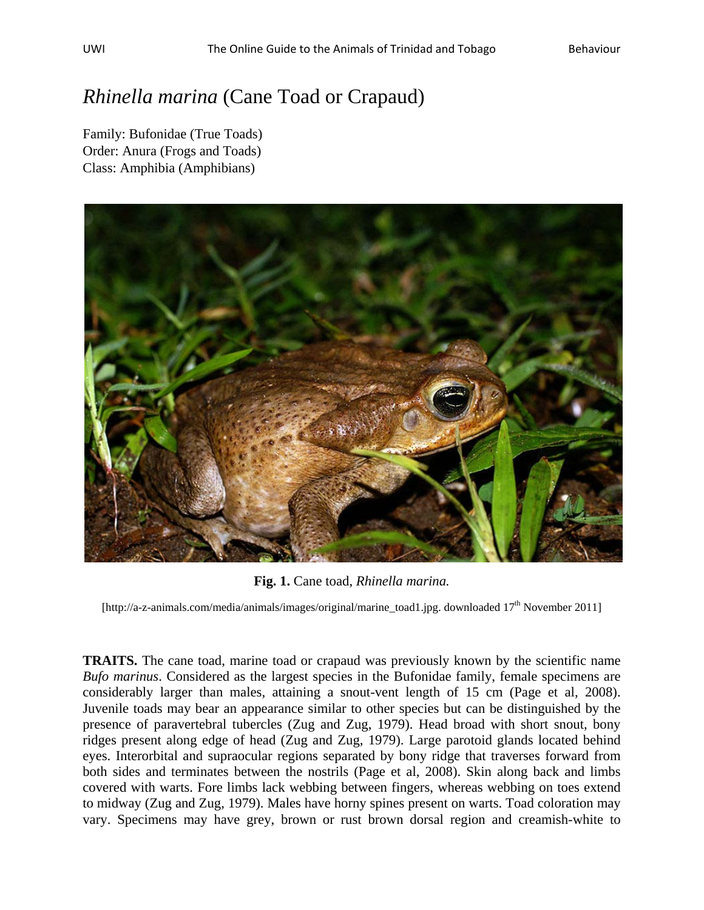## *Rhinella marina* (Cane Toad or Crapaud)

Family: Bufonidae (True Toads) Order: Anura (Frogs and Toads) Class: Amphibia (Amphibians)



**Fig. 1.** Cane toad, *Rhinella marina.*

[http://a-z-animals.com/media/animals/images/original/marine\_toad1.jpg. downloaded 17<sup>th</sup> November 2011]

**TRAITS.** The cane toad, marine toad or crapaud was previously known by the scientific name *Bufo marinus*. Considered as the largest species in the Bufonidae family, female specimens are considerably larger than males, attaining a snout-vent length of 15 cm (Page et al, 2008). Juvenile toads may bear an appearance similar to other species but can be distinguished by the presence of paravertebral tubercles (Zug and Zug, 1979). Head broad with short snout, bony ridges present along edge of head (Zug and Zug, 1979). Large parotoid glands located behind eyes. Interorbital and supraocular regions separated by bony ridge that traverses forward from both sides and terminates between the nostrils (Page et al, 2008). Skin along back and limbs covered with warts. Fore limbs lack webbing between fingers, whereas webbing on toes extend to midway (Zug and Zug, 1979). Males have horny spines present on warts. Toad coloration may vary. Specimens may have grey, brown or rust brown dorsal region and creamish-white to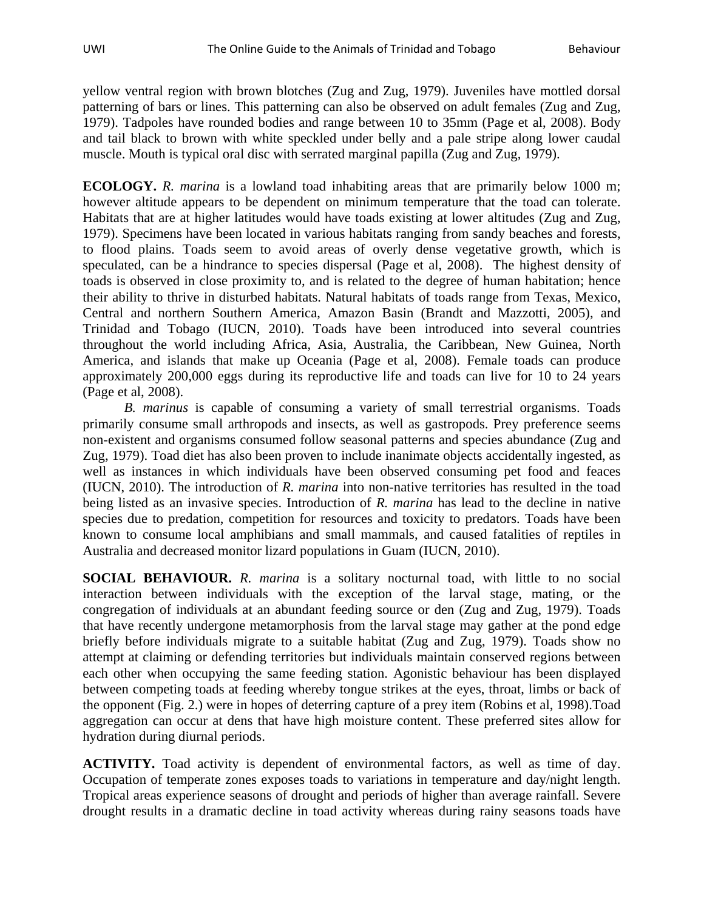yellow ventral region with brown blotches (Zug and Zug, 1979). Juveniles have mottled dorsal patterning of bars or lines. This patterning can also be observed on adult females (Zug and Zug, 1979). Tadpoles have rounded bodies and range between 10 to 35mm (Page et al, 2008). Body and tail black to brown with white speckled under belly and a pale stripe along lower caudal muscle. Mouth is typical oral disc with serrated marginal papilla (Zug and Zug, 1979).

**ECOLOGY.** *R. marina* is a lowland toad inhabiting areas that are primarily below 1000 m; however altitude appears to be dependent on minimum temperature that the toad can tolerate. Habitats that are at higher latitudes would have toads existing at lower altitudes (Zug and Zug, 1979). Specimens have been located in various habitats ranging from sandy beaches and forests, to flood plains. Toads seem to avoid areas of overly dense vegetative growth, which is speculated, can be a hindrance to species dispersal (Page et al, 2008). The highest density of toads is observed in close proximity to, and is related to the degree of human habitation; hence their ability to thrive in disturbed habitats. Natural habitats of toads range from Texas, Mexico, Central and northern Southern America, Amazon Basin (Brandt and Mazzotti, 2005), and Trinidad and Tobago (IUCN, 2010). Toads have been introduced into several countries throughout the world including Africa, Asia, Australia, the Caribbean, New Guinea, North America, and islands that make up Oceania (Page et al, 2008). Female toads can produce approximately 200,000 eggs during its reproductive life and toads can live for 10 to 24 years (Page et al, 2008).

*B. marinus* is capable of consuming a variety of small terrestrial organisms. Toads primarily consume small arthropods and insects, as well as gastropods. Prey preference seems non-existent and organisms consumed follow seasonal patterns and species abundance (Zug and Zug, 1979). Toad diet has also been proven to include inanimate objects accidentally ingested, as well as instances in which individuals have been observed consuming pet food and feaces (IUCN, 2010). The introduction of *R. marina* into non-native territories has resulted in the toad being listed as an invasive species. Introduction of *R. marina* has lead to the decline in native species due to predation, competition for resources and toxicity to predators. Toads have been known to consume local amphibians and small mammals, and caused fatalities of reptiles in Australia and decreased monitor lizard populations in Guam (IUCN, 2010).

**SOCIAL BEHAVIOUR.** *R. marina* is a solitary nocturnal toad, with little to no social interaction between individuals with the exception of the larval stage, mating, or the congregation of individuals at an abundant feeding source or den (Zug and Zug, 1979). Toads that have recently undergone metamorphosis from the larval stage may gather at the pond edge briefly before individuals migrate to a suitable habitat (Zug and Zug, 1979). Toads show no attempt at claiming or defending territories but individuals maintain conserved regions between each other when occupying the same feeding station. Agonistic behaviour has been displayed between competing toads at feeding whereby tongue strikes at the eyes, throat, limbs or back of the opponent (Fig. 2.) were in hopes of deterring capture of a prey item (Robins et al, 1998).Toad aggregation can occur at dens that have high moisture content. These preferred sites allow for hydration during diurnal periods.

**ACTIVITY.** Toad activity is dependent of environmental factors, as well as time of day. Occupation of temperate zones exposes toads to variations in temperature and day/night length. Tropical areas experience seasons of drought and periods of higher than average rainfall. Severe drought results in a dramatic decline in toad activity whereas during rainy seasons toads have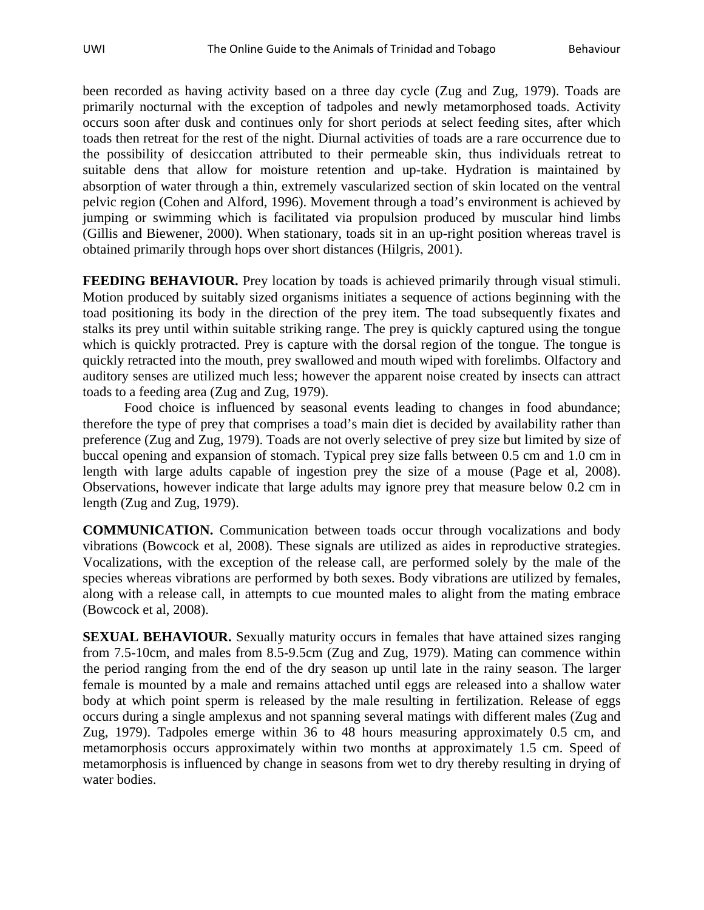been recorded as having activity based on a three day cycle (Zug and Zug, 1979). Toads are primarily nocturnal with the exception of tadpoles and newly metamorphosed toads. Activity occurs soon after dusk and continues only for short periods at select feeding sites, after which toads then retreat for the rest of the night. Diurnal activities of toads are a rare occurrence due to the possibility of desiccation attributed to their permeable skin, thus individuals retreat to suitable dens that allow for moisture retention and up-take. Hydration is maintained by absorption of water through a thin, extremely vascularized section of skin located on the ventral pelvic region (Cohen and Alford, 1996). Movement through a toad's environment is achieved by jumping or swimming which is facilitated via propulsion produced by muscular hind limbs (Gillis and Biewener, 2000). When stationary, toads sit in an up-right position whereas travel is obtained primarily through hops over short distances (Hilgris, 2001).

**FEEDING BEHAVIOUR.** Prey location by toads is achieved primarily through visual stimuli. Motion produced by suitably sized organisms initiates a sequence of actions beginning with the toad positioning its body in the direction of the prey item. The toad subsequently fixates and stalks its prey until within suitable striking range. The prey is quickly captured using the tongue which is quickly protracted. Prey is capture with the dorsal region of the tongue. The tongue is quickly retracted into the mouth, prey swallowed and mouth wiped with forelimbs. Olfactory and auditory senses are utilized much less; however the apparent noise created by insects can attract toads to a feeding area (Zug and Zug, 1979).

Food choice is influenced by seasonal events leading to changes in food abundance; therefore the type of prey that comprises a toad's main diet is decided by availability rather than preference (Zug and Zug, 1979). Toads are not overly selective of prey size but limited by size of buccal opening and expansion of stomach. Typical prey size falls between 0.5 cm and 1.0 cm in length with large adults capable of ingestion prey the size of a mouse (Page et al, 2008). Observations, however indicate that large adults may ignore prey that measure below 0.2 cm in length (Zug and Zug, 1979).

**COMMUNICATION.** Communication between toads occur through vocalizations and body vibrations (Bowcock et al, 2008). These signals are utilized as aides in reproductive strategies. Vocalizations, with the exception of the release call, are performed solely by the male of the species whereas vibrations are performed by both sexes. Body vibrations are utilized by females, along with a release call, in attempts to cue mounted males to alight from the mating embrace (Bowcock et al, 2008).

**SEXUAL BEHAVIOUR.** Sexually maturity occurs in females that have attained sizes ranging from 7.5-10cm, and males from 8.5-9.5cm (Zug and Zug, 1979). Mating can commence within the period ranging from the end of the dry season up until late in the rainy season. The larger female is mounted by a male and remains attached until eggs are released into a shallow water body at which point sperm is released by the male resulting in fertilization. Release of eggs occurs during a single amplexus and not spanning several matings with different males (Zug and Zug, 1979). Tadpoles emerge within 36 to 48 hours measuring approximately 0.5 cm, and metamorphosis occurs approximately within two months at approximately 1.5 cm. Speed of metamorphosis is influenced by change in seasons from wet to dry thereby resulting in drying of water bodies.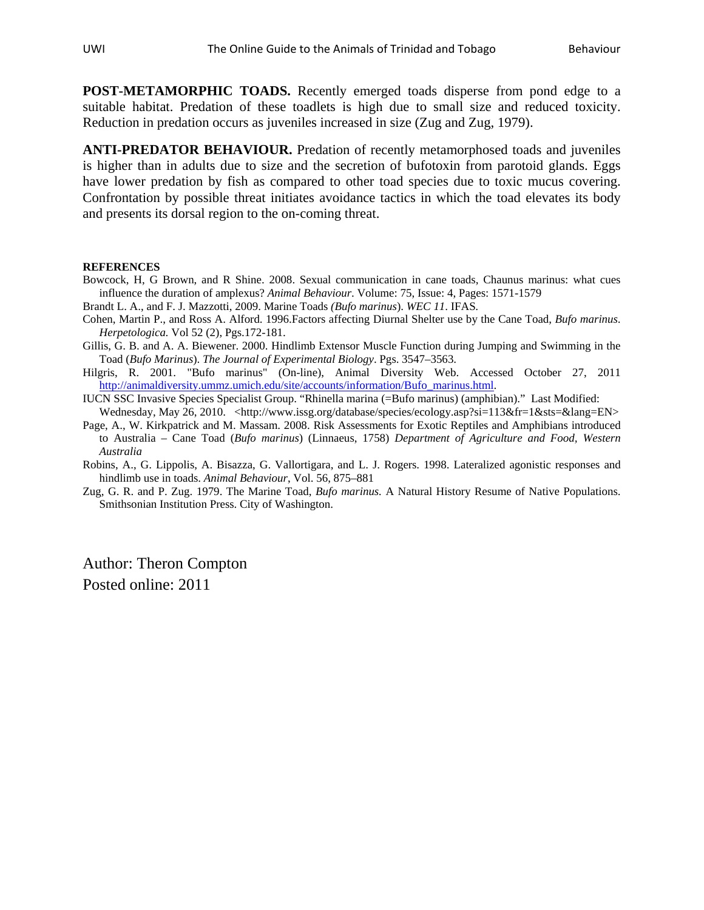**POST-METAMORPHIC TOADS.** Recently emerged toads disperse from pond edge to a suitable habitat. Predation of these toadlets is high due to small size and reduced toxicity. Reduction in predation occurs as juveniles increased in size (Zug and Zug, 1979).

**ANTI-PREDATOR BEHAVIOUR.** Predation of recently metamorphosed toads and juveniles is higher than in adults due to size and the secretion of bufotoxin from parotoid glands. Eggs have lower predation by fish as compared to other toad species due to toxic mucus covering. Confrontation by possible threat initiates avoidance tactics in which the toad elevates its body and presents its dorsal region to the on-coming threat.

## **REFERENCES**

- Bowcock, H, G Brown, and R Shine. 2008. Sexual communication in cane toads, Chaunus marinus: what cues influence the duration of amplexus? *Animal Behaviour*. Volume: 75, Issue: 4, Pages: 1571-1579
- Brandt L. A., and F. J. Mazzotti, 2009. Marine Toads *(Bufo marinus*). *WEC 11*. IFAS*.*
- Cohen, Martin P., and Ross A. Alford. 1996.Factors affecting Diurnal Shelter use by the Cane Toad, *Bufo marinus*. *Herpetologica.* Vol 52 (2), Pgs.172-181.
- Gillis, G. B. and A. A. Biewener. 2000. Hindlimb Extensor Muscle Function during Jumping and Swimming in the Toad (*Bufo Marinus*). *The Journal of Experimental Biology*. Pgs. 3547–3563.
- Hilgris, R. 2001. "Bufo marinus" (On-line), Animal Diversity Web. Accessed October 27, 2011 [http://animaldiversity.ummz.umich.edu/site/accounts/information/Bufo\\_marinus.html.](http://animaldiversity.ummz.umich.edu/site/accounts/information/Bufo_marinus.html)
- IUCN SSC Invasive Species Specialist Group. "Rhinella marina (=Bufo marinus) (amphibian)." Last Modified: Wednesday, May 26, 2010. <http://www.issg.org/database/species/ecology.asp?si=113&fr=1&sts=&lang=EN>
- Page, A., W. Kirkpatrick and M. Massam. 2008. Risk Assessments for Exotic Reptiles and Amphibians introduced to Australia – Cane Toad (*Bufo marinus*) (Linnaeus, 1758) *Department of Agriculture and Food, Western Australia*
- Robins, A., G. Lippolis, A. Bisazza, G. Vallortigara, and L. J. Rogers. 1998. Lateralized agonistic responses and hindlimb use in toads. *Animal Behaviour*, Vol. 56, 875–881
- Zug, G. R. and P. Zug. 1979. The Marine Toad, *Bufo marinus.* A Natural History Resume of Native Populations. Smithsonian Institution Press. City of Washington.

Author: Theron Compton Posted online: 2011